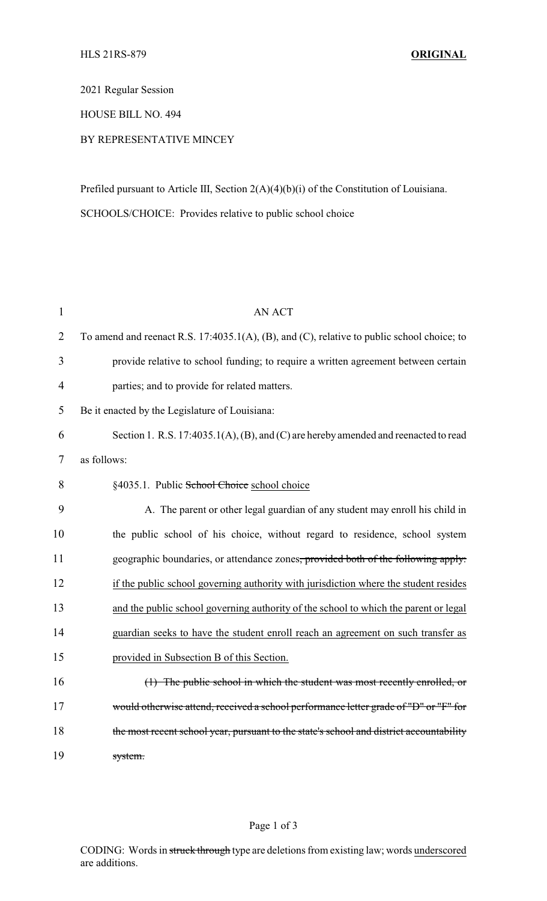2021 Regular Session

HOUSE BILL NO. 494

## BY REPRESENTATIVE MINCEY

Prefiled pursuant to Article III, Section 2(A)(4)(b)(i) of the Constitution of Louisiana. SCHOOLS/CHOICE: Provides relative to public school choice

| $\mathbf{1}$   | <b>AN ACT</b>                                                                                 |
|----------------|-----------------------------------------------------------------------------------------------|
| $\overline{2}$ | To amend and reenact R.S. 17:4035.1(A), (B), and (C), relative to public school choice; to    |
| 3              | provide relative to school funding; to require a written agreement between certain            |
| $\overline{4}$ | parties; and to provide for related matters.                                                  |
| 5              | Be it enacted by the Legislature of Louisiana:                                                |
| 6              | Section 1. R.S. 17:4035.1(A), (B), and (C) are hereby amended and reenacted to read           |
| 7              | as follows:                                                                                   |
| 8              | §4035.1. Public School Choice school choice                                                   |
| 9              | A. The parent or other legal guardian of any student may enroll his child in                  |
| 10             | the public school of his choice, without regard to residence, school system                   |
| 11             | geographic boundaries, or attendance zones <del>, provided both of the following apply:</del> |
| 12             | if the public school governing authority with jurisdiction where the student resides          |
| 13             | and the public school governing authority of the school to which the parent or legal          |
| 14             | guardian seeks to have the student enroll reach an agreement on such transfer as              |
| 15             | provided in Subsection B of this Section.                                                     |
| 16             | (1) The public school in which the student was most recently enrolled, or                     |
| 17             | would otherwise attend, received a school performance letter grade of "D" or "F" for          |
| 18             | the most recent school year, pursuant to the state's school and district accountability       |
| 19             | system.                                                                                       |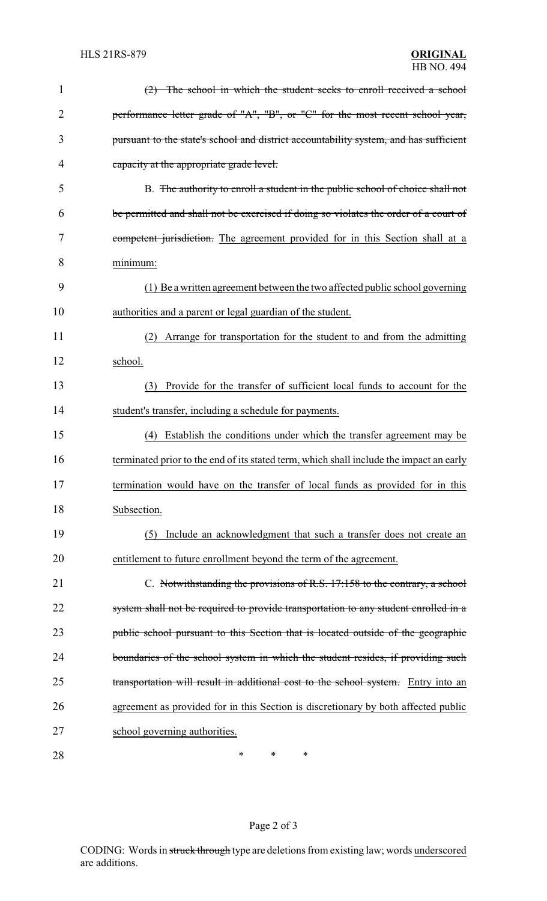| $\mathbf{1}$   | (2) The school in which the student seeks to enroll received a school                   |
|----------------|-----------------------------------------------------------------------------------------|
| $\overline{2}$ | performance letter grade of "A", "B", or "C" for the most recent school year,           |
| 3              | pursuant to the state's school and district accountability system, and has sufficient   |
| 4              | capacity at the appropriate grade level.                                                |
| 5              | B. The authority to enroll a student in the public school of choice shall not           |
| 6              | be permitted and shall not be exercised if doing so violates the order of a court of    |
| 7              | competent jurisdiction. The agreement provided for in this Section shall at a           |
| 8              | minimum:                                                                                |
| 9              | (1) Be a written agreement between the two affected public school governing             |
| 10             | authorities and a parent or legal guardian of the student.                              |
| 11             | (2) Arrange for transportation for the student to and from the admitting                |
| 12             | school.                                                                                 |
| 13             | Provide for the transfer of sufficient local funds to account for the<br>(3)            |
| 14             | student's transfer, including a schedule for payments.                                  |
| 15             | (4) Establish the conditions under which the transfer agreement may be                  |
| 16             | terminated prior to the end of its stated term, which shall include the impact an early |
| 17             | termination would have on the transfer of local funds as provided for in this           |
| 18             | Subsection.                                                                             |
| 19             | Include an acknowledgment that such a transfer does not create an<br>(5)                |
| 20             | entitlement to future enrollment beyond the term of the agreement.                      |
| 21             | C. Notwithstanding the provisions of R.S. 17:158 to the contrary, a school              |
| 22             | system shall not be required to provide transportation to any student enrolled in a     |
| 23             | public school pursuant to this Section that is located outside of the geographic        |
| 24             | boundaries of the school system in which the student resides, if providing such         |
| 25             | transportation will result in additional cost to the school system. Entry into an       |
| 26             | agreement as provided for in this Section is discretionary by both affected public      |
| 27             | school governing authorities.                                                           |
| 28             | ∗<br>∗<br>∗                                                                             |